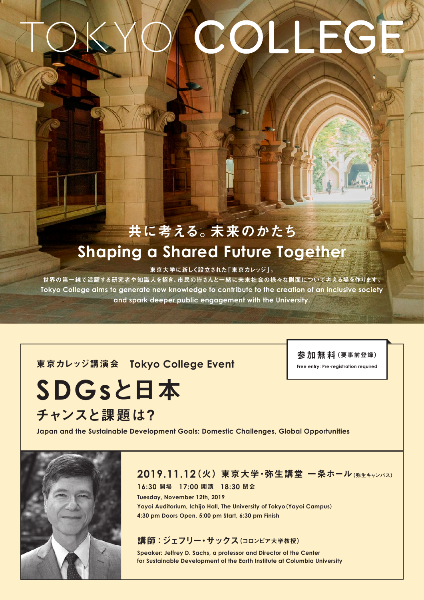# OL EGE

## 共に考える。未来のかたち **Shaping a Shared Future Together**

東京大学に新しく設立された「東京カレッジ」。

世界の第一線で活躍する研究者や知識人を招き、市民の皆さんと一緒に未来社会の様々な側面について考える場を作ります。 Tokyo College aims to generate new knowledge to contribute to the creation of an inclusive society and spark deeper public engagement with the University.

#### **東京カレッジ講演会 Tokyo College Event**

参加無料(要事前登録)

**Free entry: Pre-registration required** 

**SDGs**と日本 チャンスと課題は?

**Japan and the Sustainable Development Goals: Domestic Challenges, Global Opportunities** 



#### 2019.11.12(火) 東京大学·弥生講堂 一条ホール (約年キャンパス)

閉会 **18:30** 開演 **17:00** 開場 **16:30 Tuesday, November 12th, 2019** Yayoi Auditorium, Ichijo Hall, The University of Tokyo (Yayoi Campus) 4:30 pm Doors Open, 5:00 pm Start, 6:30 pm Finish

#### 講師:ジェフリー·サックス(コロンビア大学教授)

Speaker: Jeffrey D. Sachs, a professor and Director of the Center for Sustainable Development of the Earth Institute at Columbia University